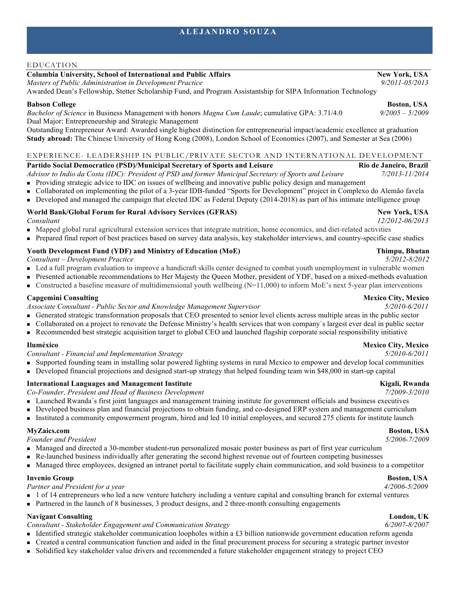### EDUCATION

# **Columbia University, School of International and Public Affairs New York, USA**

*Masters of Public Administration in Development Practice 9/2011-05/2013*

Awarded Dean's Fellowship, Stetter Scholarship Fund, and Program Assistantship for SIPA Information Technology

## **Babson College Boston, USA**

*Bachelor of Science* in Business Management with honors *Magna Cum Laude*; cumulative GPA: 3.71/4.0 *9/2005 – 5/2009* Dual Major: Entrepreneurship and Strategic Management

Outstanding Entrepreneur Award: Awarded single highest distinction for entrepreneurial impact/academic excellence at graduation **Study abroad:** The Chinese University of Hong Kong (2008), London School of Economics (2007), and Semester at Sea (2006)

### EXPERIENCE- LEADERSHIP IN PUBLIC/PRIVATE SECTOR AND INTERNATIONAL DEVELOPMENT

### Partido Social Democratico (PSD)/Municipal Secretary of Sports and Leisure Rio Rio de Janeiro, Brazil

*Advisor to Indio da Costa (IDC): President of PSD and former Municipal Secretary of Sports and Leisure 7/2013-11/2014* <sup>n</sup> Providing strategic advice to IDC on issues of wellbeing and innovative public policy design and management

- <sup>n</sup> Collaborated on implementing the pilot of a 3-year IDB-funded "Sports for Development" project in Complexo do Alemão favela
- <sup>n</sup> Developed and managed the campaign that elected IDC as Federal Deputy (2014-2018) as part of his intimate intelligence group

### World Bank/Global Forum for Rural Advisory Services (GFRAS) **New York, USA**

- <sup>n</sup> Mapped global rural agricultural extension services that integrate nutrition, home economics, and diet-related activities
- <sup>n</sup> Prepared final report of best practices based on survey data analysis, key stakeholder interviews, and country-specific case studies

## **Youth Development Fund (YDF) and Ministry of Education (MoE) Thimpu, Bhutan**

*Consultant – Development Practice 5/2012-8/2012*

- <sup>n</sup> Led a full program evaluation to improve a handicraft skills center designed to combat youth unemployment in vulnerable women
- Presented actionable recommendations to Her Majesty the Queen Mother, president of YDF, based on a mixed-methods evaluation
- **n** Constructed a baseline measure of multidimensional youth wellbeing  $(N=11,000)$  to inform MoE's next 5-year plan interventions

## **Capgemini Consulting Consulting Consulting Consulting Consulting Consulting Consulting Consulting Consulting Consulting Consulting Consulting Consulting Consulting Consulting Consulting Consulting Consulting Consulting Co**

*Associate Consultant - Public Sector and Knowledge Management Supervisor 5/2010-6/2011*

- <sup>n</sup> Generated strategic transformation proposals that CEO presented to senior level clients across multiple areas in the public sector
- <sup>n</sup> Collaborated on a project to renovate the Defense Ministry's health services that won company´s largest ever deal in public sector
- <sup>n</sup> Recommended best strategic acquisition target to global CEO and launched flagship corporate social responsibility initiative

*Consultant - Financial and Implementation Strategy 5/2010-6/2011*

- <sup>n</sup> Supported founding team in installing solar powered lighting systems in rural Mexico to empower and develop local communities
- <sup>n</sup> Developed financial projections and designed start-up strategy that helped founding team win \$48,000 in start-up capital

## **International Languages and Management Institute Service School School School School School School School School School School School School School School School School School School School School School School School Sch**

*Co-Founder, President and Head of Business Development 7/2009-3/2010*

- <sup>n</sup> Launched Rwanda´s first joint languages and management training institute for government officials and business executives
- <sup>n</sup> Developed business plan and financial projections to obtain funding, and co-designed ERP system and management curriculum
- <sup>n</sup> Instituted a community empowerment program, hired and led 10 initial employees, and secured 275 clients for institute launch

# **MyZaics.com Boston, USA**

*Founder and President 5/2006-7/2009* 

- <sup>n</sup> Managed and directed a 30-member student-run personalized mosaic poster business as part of first year curriculum
- <sup>n</sup> Re-launched business individually after generating the second highest revenue out of fourteen competing businesses
- <sup>n</sup> Managed three employees, designed an intranet portal to facilitate supply chain communication, and sold business to a competitor

## **Invenio Group Boston, USA**

*Partner and President for a year 4/2006-5/2009* 

- <sup>n</sup> 1 of 14 entrepreneurs who led a new venture hatchery including a venture capital and consulting branch for external ventures
- n Partnered in the launch of 8 businesses, 3 product designs, and 2 three-month consulting engagements

## **Navigant Consulting London, UK London, UK London, UK London, UK**

*Consultant - Stakeholder Engagement and Communication Strategy 6/2007-8/2007* 

- Identified strategic stakeholder communication loopholes within a  $£3$  billion nationwide government education reform agenda
- <sup>n</sup> Created a central communication function and aided in the final procurement process for securing a strategic partner investor
- <sup>n</sup> Solidified key stakeholder value drivers and recommended a future stakeholder engagement strategy to project CEO

# *Consultant 12/2012-06/2013*



# **Iluméxico Mexico City, Mexico**